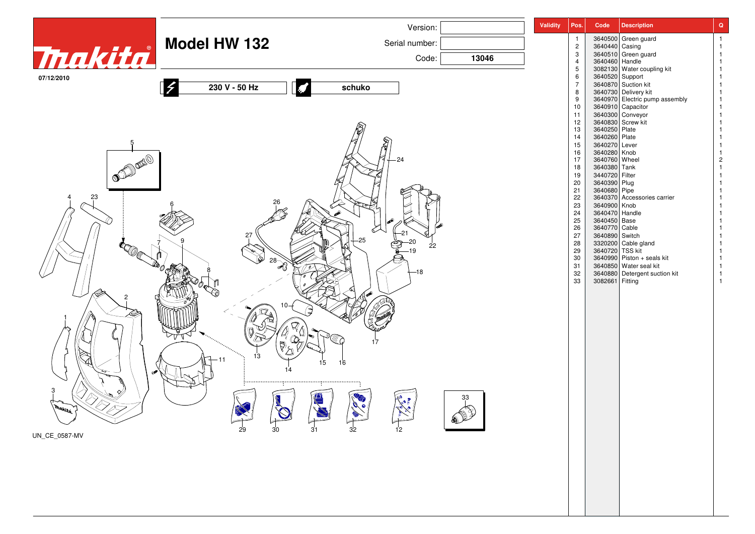| 3640500 Green guard<br><b>Model HW 132</b><br>Tnakita<br>Serial number:<br>3640440 Casing<br>$\overline{c}$<br>3640510 Green guard<br>$\mathbf{3}$<br>Code:<br>13046<br>3640460<br>3082130 Handle<br>3082130 Water coupling kit<br>$\overline{4}$<br>5<br>3640520 Support<br>6<br>07/12/2010<br>$\overline{7}$<br>3640870 Suction kit<br>230 V - 50 Hz<br>schuko<br>3640730 Delivery kit<br>8<br>3640970 Electric pump assembly<br>3640910 Capacitor<br>9<br>10<br>3640300 Conveyor<br>11<br>3640830 Screw kit<br>12<br>3640250 Plate<br>13<br>3640260 Plate<br>14<br>3640270 Lever<br>15<br>16<br>3640280 Knob<br>OF BOOM<br>17<br>3640760 Wheel<br>24<br>2<br>18<br>3640380 Tank<br>3440720 Filter<br>19<br>3640390 Plug<br>20<br>21<br>3640680 Pipe<br>23<br>22<br>3640370 Accessories carrier<br>23<br>3640900 Knob<br>3640470 Handle<br>24<br>$25\,$<br>3640450 Base<br>26<br>3640770 Cable<br>27<br>3640890 Switch<br>27<br>3320200 Cable gland<br>3640720 TSS kit<br>28<br>22<br>29<br>$30\,$<br>3640990 Piston + seals kit<br>$28 - 8$<br>3640850 Water seal kit<br>31<br>-18<br>32<br>3640880 Detergent suction kit<br>33<br>3082661 Fitting<br>17<br>13<br>15<br>16<br><br>33<br><b>Makita</b><br>$\begin{array}{c}\n\overline{32} \\ \end{array}$<br>$\frac{1}{12}$<br>$\mathbb{C}$<br>$\sqrt{\frac{31}{}}$<br>$\frac{1}{30}$<br>29 |               | Version: | <b>Validity</b> | Pos. | Code | <b>Description</b> | $\mathbf Q$ |
|------------------------------------------------------------------------------------------------------------------------------------------------------------------------------------------------------------------------------------------------------------------------------------------------------------------------------------------------------------------------------------------------------------------------------------------------------------------------------------------------------------------------------------------------------------------------------------------------------------------------------------------------------------------------------------------------------------------------------------------------------------------------------------------------------------------------------------------------------------------------------------------------------------------------------------------------------------------------------------------------------------------------------------------------------------------------------------------------------------------------------------------------------------------------------------------------------------------------------------------------------------------------------------------------------------------------------------------------|---------------|----------|-----------------|------|------|--------------------|-------------|
|                                                                                                                                                                                                                                                                                                                                                                                                                                                                                                                                                                                                                                                                                                                                                                                                                                                                                                                                                                                                                                                                                                                                                                                                                                                                                                                                                |               |          |                 |      |      |                    |             |
|                                                                                                                                                                                                                                                                                                                                                                                                                                                                                                                                                                                                                                                                                                                                                                                                                                                                                                                                                                                                                                                                                                                                                                                                                                                                                                                                                |               |          |                 |      |      |                    |             |
|                                                                                                                                                                                                                                                                                                                                                                                                                                                                                                                                                                                                                                                                                                                                                                                                                                                                                                                                                                                                                                                                                                                                                                                                                                                                                                                                                |               |          |                 |      |      |                    |             |
|                                                                                                                                                                                                                                                                                                                                                                                                                                                                                                                                                                                                                                                                                                                                                                                                                                                                                                                                                                                                                                                                                                                                                                                                                                                                                                                                                |               |          |                 |      |      |                    |             |
|                                                                                                                                                                                                                                                                                                                                                                                                                                                                                                                                                                                                                                                                                                                                                                                                                                                                                                                                                                                                                                                                                                                                                                                                                                                                                                                                                |               |          |                 |      |      |                    |             |
|                                                                                                                                                                                                                                                                                                                                                                                                                                                                                                                                                                                                                                                                                                                                                                                                                                                                                                                                                                                                                                                                                                                                                                                                                                                                                                                                                |               |          |                 |      |      |                    |             |
|                                                                                                                                                                                                                                                                                                                                                                                                                                                                                                                                                                                                                                                                                                                                                                                                                                                                                                                                                                                                                                                                                                                                                                                                                                                                                                                                                |               |          |                 |      |      |                    |             |
|                                                                                                                                                                                                                                                                                                                                                                                                                                                                                                                                                                                                                                                                                                                                                                                                                                                                                                                                                                                                                                                                                                                                                                                                                                                                                                                                                |               |          |                 |      |      |                    |             |
|                                                                                                                                                                                                                                                                                                                                                                                                                                                                                                                                                                                                                                                                                                                                                                                                                                                                                                                                                                                                                                                                                                                                                                                                                                                                                                                                                |               |          |                 |      |      |                    |             |
|                                                                                                                                                                                                                                                                                                                                                                                                                                                                                                                                                                                                                                                                                                                                                                                                                                                                                                                                                                                                                                                                                                                                                                                                                                                                                                                                                |               |          |                 |      |      |                    |             |
|                                                                                                                                                                                                                                                                                                                                                                                                                                                                                                                                                                                                                                                                                                                                                                                                                                                                                                                                                                                                                                                                                                                                                                                                                                                                                                                                                |               |          |                 |      |      |                    |             |
|                                                                                                                                                                                                                                                                                                                                                                                                                                                                                                                                                                                                                                                                                                                                                                                                                                                                                                                                                                                                                                                                                                                                                                                                                                                                                                                                                |               |          |                 |      |      |                    |             |
|                                                                                                                                                                                                                                                                                                                                                                                                                                                                                                                                                                                                                                                                                                                                                                                                                                                                                                                                                                                                                                                                                                                                                                                                                                                                                                                                                |               |          |                 |      |      |                    |             |
|                                                                                                                                                                                                                                                                                                                                                                                                                                                                                                                                                                                                                                                                                                                                                                                                                                                                                                                                                                                                                                                                                                                                                                                                                                                                                                                                                |               |          |                 |      |      |                    |             |
|                                                                                                                                                                                                                                                                                                                                                                                                                                                                                                                                                                                                                                                                                                                                                                                                                                                                                                                                                                                                                                                                                                                                                                                                                                                                                                                                                |               |          |                 |      |      |                    |             |
|                                                                                                                                                                                                                                                                                                                                                                                                                                                                                                                                                                                                                                                                                                                                                                                                                                                                                                                                                                                                                                                                                                                                                                                                                                                                                                                                                |               |          |                 |      |      |                    |             |
|                                                                                                                                                                                                                                                                                                                                                                                                                                                                                                                                                                                                                                                                                                                                                                                                                                                                                                                                                                                                                                                                                                                                                                                                                                                                                                                                                |               |          |                 |      |      |                    |             |
|                                                                                                                                                                                                                                                                                                                                                                                                                                                                                                                                                                                                                                                                                                                                                                                                                                                                                                                                                                                                                                                                                                                                                                                                                                                                                                                                                |               |          |                 |      |      |                    |             |
|                                                                                                                                                                                                                                                                                                                                                                                                                                                                                                                                                                                                                                                                                                                                                                                                                                                                                                                                                                                                                                                                                                                                                                                                                                                                                                                                                |               |          |                 |      |      |                    |             |
|                                                                                                                                                                                                                                                                                                                                                                                                                                                                                                                                                                                                                                                                                                                                                                                                                                                                                                                                                                                                                                                                                                                                                                                                                                                                                                                                                |               |          |                 |      |      |                    |             |
|                                                                                                                                                                                                                                                                                                                                                                                                                                                                                                                                                                                                                                                                                                                                                                                                                                                                                                                                                                                                                                                                                                                                                                                                                                                                                                                                                |               |          |                 |      |      |                    |             |
|                                                                                                                                                                                                                                                                                                                                                                                                                                                                                                                                                                                                                                                                                                                                                                                                                                                                                                                                                                                                                                                                                                                                                                                                                                                                                                                                                |               |          |                 |      |      |                    |             |
|                                                                                                                                                                                                                                                                                                                                                                                                                                                                                                                                                                                                                                                                                                                                                                                                                                                                                                                                                                                                                                                                                                                                                                                                                                                                                                                                                |               |          |                 |      |      |                    |             |
|                                                                                                                                                                                                                                                                                                                                                                                                                                                                                                                                                                                                                                                                                                                                                                                                                                                                                                                                                                                                                                                                                                                                                                                                                                                                                                                                                |               |          |                 |      |      |                    |             |
|                                                                                                                                                                                                                                                                                                                                                                                                                                                                                                                                                                                                                                                                                                                                                                                                                                                                                                                                                                                                                                                                                                                                                                                                                                                                                                                                                |               |          |                 |      |      |                    |             |
|                                                                                                                                                                                                                                                                                                                                                                                                                                                                                                                                                                                                                                                                                                                                                                                                                                                                                                                                                                                                                                                                                                                                                                                                                                                                                                                                                |               |          |                 |      |      |                    |             |
|                                                                                                                                                                                                                                                                                                                                                                                                                                                                                                                                                                                                                                                                                                                                                                                                                                                                                                                                                                                                                                                                                                                                                                                                                                                                                                                                                |               |          |                 |      |      |                    |             |
|                                                                                                                                                                                                                                                                                                                                                                                                                                                                                                                                                                                                                                                                                                                                                                                                                                                                                                                                                                                                                                                                                                                                                                                                                                                                                                                                                |               |          |                 |      |      |                    |             |
|                                                                                                                                                                                                                                                                                                                                                                                                                                                                                                                                                                                                                                                                                                                                                                                                                                                                                                                                                                                                                                                                                                                                                                                                                                                                                                                                                |               |          |                 |      |      |                    |             |
|                                                                                                                                                                                                                                                                                                                                                                                                                                                                                                                                                                                                                                                                                                                                                                                                                                                                                                                                                                                                                                                                                                                                                                                                                                                                                                                                                |               |          |                 |      |      |                    |             |
|                                                                                                                                                                                                                                                                                                                                                                                                                                                                                                                                                                                                                                                                                                                                                                                                                                                                                                                                                                                                                                                                                                                                                                                                                                                                                                                                                |               |          |                 |      |      |                    |             |
|                                                                                                                                                                                                                                                                                                                                                                                                                                                                                                                                                                                                                                                                                                                                                                                                                                                                                                                                                                                                                                                                                                                                                                                                                                                                                                                                                |               |          |                 |      |      |                    |             |
|                                                                                                                                                                                                                                                                                                                                                                                                                                                                                                                                                                                                                                                                                                                                                                                                                                                                                                                                                                                                                                                                                                                                                                                                                                                                                                                                                |               |          |                 |      |      |                    |             |
|                                                                                                                                                                                                                                                                                                                                                                                                                                                                                                                                                                                                                                                                                                                                                                                                                                                                                                                                                                                                                                                                                                                                                                                                                                                                                                                                                |               |          |                 |      |      |                    |             |
|                                                                                                                                                                                                                                                                                                                                                                                                                                                                                                                                                                                                                                                                                                                                                                                                                                                                                                                                                                                                                                                                                                                                                                                                                                                                                                                                                | UN_CE_0587-MV |          |                 |      |      |                    |             |
|                                                                                                                                                                                                                                                                                                                                                                                                                                                                                                                                                                                                                                                                                                                                                                                                                                                                                                                                                                                                                                                                                                                                                                                                                                                                                                                                                |               |          |                 |      |      |                    |             |
|                                                                                                                                                                                                                                                                                                                                                                                                                                                                                                                                                                                                                                                                                                                                                                                                                                                                                                                                                                                                                                                                                                                                                                                                                                                                                                                                                |               |          |                 |      |      |                    |             |
|                                                                                                                                                                                                                                                                                                                                                                                                                                                                                                                                                                                                                                                                                                                                                                                                                                                                                                                                                                                                                                                                                                                                                                                                                                                                                                                                                |               |          |                 |      |      |                    |             |
|                                                                                                                                                                                                                                                                                                                                                                                                                                                                                                                                                                                                                                                                                                                                                                                                                                                                                                                                                                                                                                                                                                                                                                                                                                                                                                                                                |               |          |                 |      |      |                    |             |
|                                                                                                                                                                                                                                                                                                                                                                                                                                                                                                                                                                                                                                                                                                                                                                                                                                                                                                                                                                                                                                                                                                                                                                                                                                                                                                                                                |               |          |                 |      |      |                    |             |
|                                                                                                                                                                                                                                                                                                                                                                                                                                                                                                                                                                                                                                                                                                                                                                                                                                                                                                                                                                                                                                                                                                                                                                                                                                                                                                                                                |               |          |                 |      |      |                    |             |